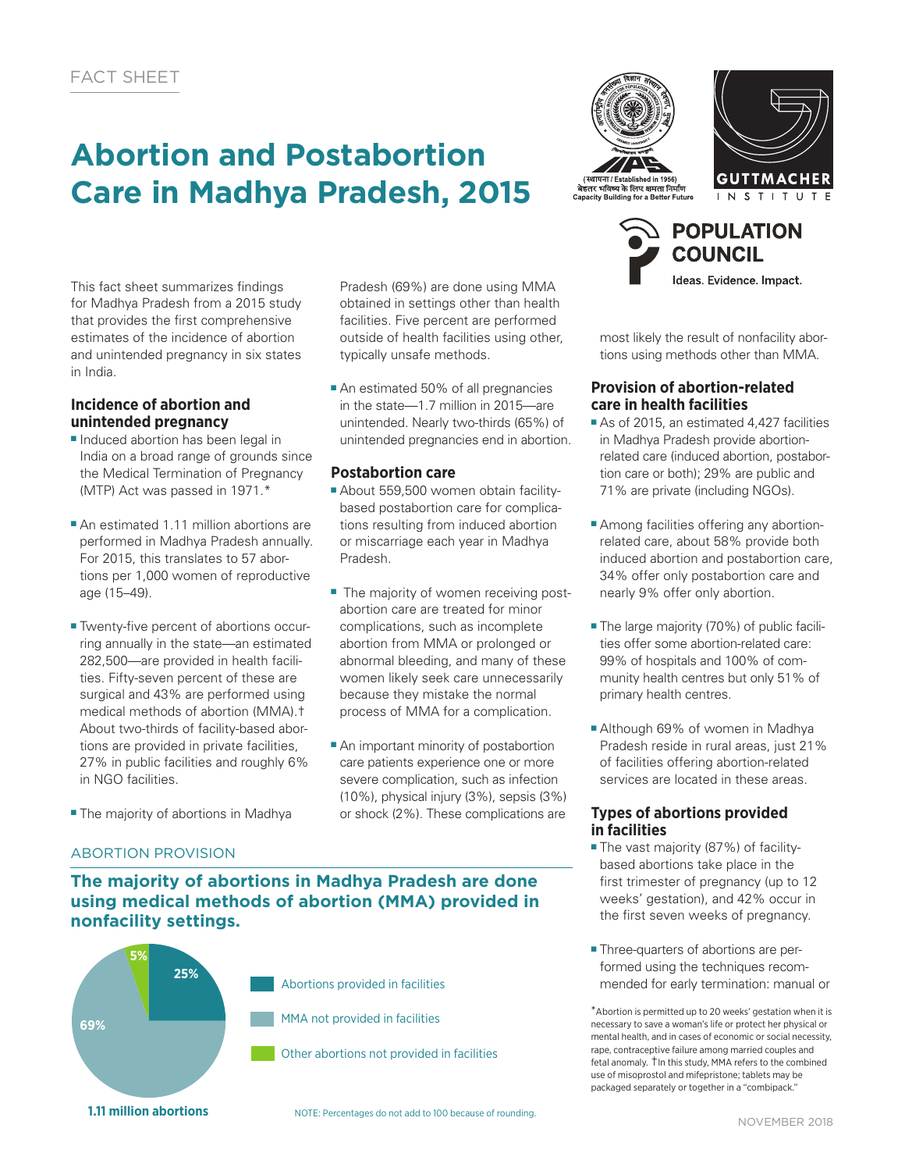# **Abortion and Postabortion Care in Madhya Pradesh, 2015**

This fact sheet summarizes findings for Madhya Pradesh from a 2015 study that provides the first comprehensive estimates of the incidence of abortion and unintended pregnancy in six states in India.

## **Incidence of abortion and unintended pregnancy**

- Induced abortion has been legal in India on a broad range of grounds since the Medical Termination of Pregnancy (MTP) Act was passed in 1971.\*
- An estimated 1.11 million abortions are performed in Madhya Pradesh annually. For 2015, this translates to 57 abortions per 1,000 women of reproductive age (15–49).
- Twenty-five percent of abortions occurring annually in the state—an estimated 282,500—are provided in health facilities. Fifty-seven percent of these are surgical and 43% are performed using medical methods of abortion (MMA).† About two-thirds of facility-based abortions are provided in private facilities, 27% in public facilities and roughly 6% in NGO facilities.
- The majority of abortions in Madhya

Pradesh (69%) are done using MMA obtained in settings other than health facilities. Five percent are performed outside of health facilities using other, typically unsafe methods.

■ An estimated 50% of all pregnancies in the state—1.7 million in 2015—are unintended. Nearly two-thirds (65%) of unintended pregnancies end in abortion.

## **Postabortion care**

- About 559,500 women obtain facilitybased postabortion care for complications resulting from induced abortion or miscarriage each year in Madhya Pradesh.
- The majority of women receiving postabortion care are treated for minor complications, such as incomplete abortion from MMA or prolonged or abnormal bleeding, and many of these women likely seek care unnecessarily because they mistake the normal process of MMA for a complication.
- An important minority of postabortion care patients experience one or more severe complication, such as infection (10%), physical injury (3%), sepsis (3%) or shock (2%). These complications are







most likely the result of nonfacility abortions using methods other than MMA.

### **Provision of abortion-related care in health facilities**

- As of 2015, an estimated 4,427 facilities in Madhya Pradesh provide abortionrelated care (induced abortion, postabortion care or both); 29% are public and 71% are private (including NGOs).
- Among facilities offering any abortionrelated care, about 58% provide both induced abortion and postabortion care, 34% offer only postabortion care and nearly 9% offer only abortion.
- The large majority (70%) of public facilities offer some abortion-related care: 99% of hospitals and 100% of community health centres but only 51% of primary health centres.
- Although 69% of women in Madhya Pradesh reside in rural areas, just 21% of facilities offering abortion-related services are located in these areas.

#### **Types of abortions provided in facilities**

- The vast majority (87%) of facilitybased abortions take place in the first trimester of pregnancy (up to 12 weeks' gestation), and 42% occur in the first seven weeks of pregnancy.
- Three-quarters of abortions are performed using the techniques recommended for early termination: manual or

\*Abortion is permitted up to 20 weeks' gestation when it is necessary to save a woman's life or protect her physical or mental health, and in cases of economic or social necessity, rape, contraceptive failure among married couples and fetal anomaly. †In this study, MMA refers to the combined use of misoprostol and mifepristone; tablets may be packaged separately or together in a "combipack."

# ABORTION PROVISION

## **The majority of abortions in Madhya Pradesh are done using medical methods of abortion (MMA) provided in nonfacility settings.**